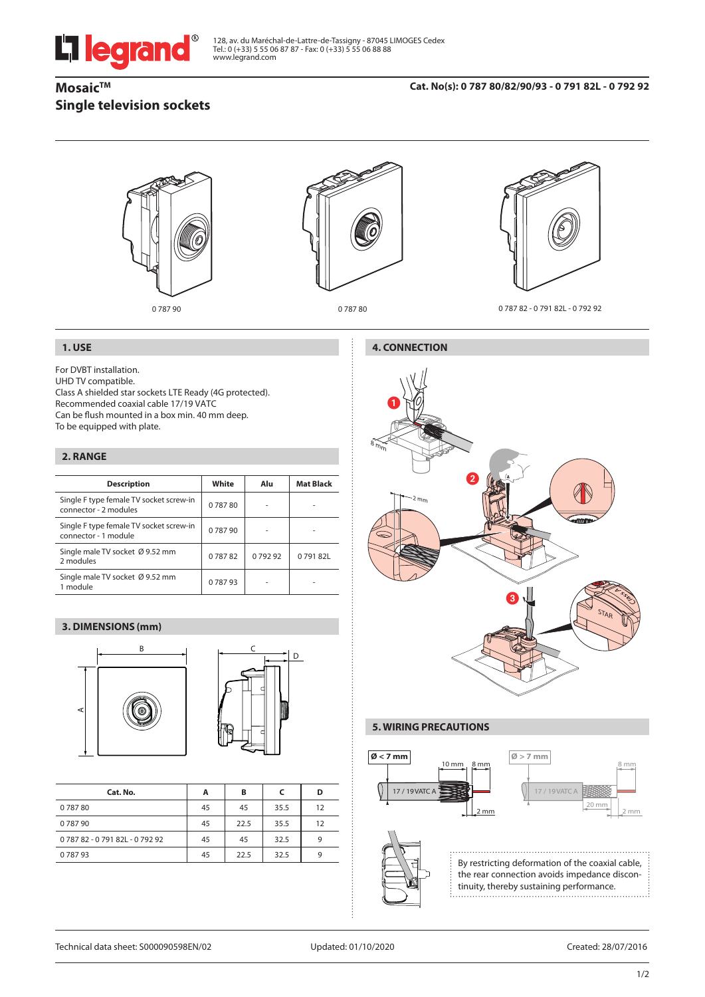# L'i legrand

128, av. du Maréchal-de-Lattre-de-Tassigny - 87045 LIMOGES Cedex<br>Tel.: 0 (+33) 5 55 06 87 87 - Fax: 0 (+33) 5 55 06 88 88<br>www.legrand.com

# **Mosaic™ Single television sockets**



# **1. USE**

For DVBT installation.

UHD TV compatible.

Class A shielded star sockets LTE Ready (4G protected). Recommended coaxial cable 17/19 VATC Can be flush mounted in a box min. 40 mm deep. To be equipped with plate.

### **2. RANGE**

| <b>Description</b>                                               | White  | Alu    | <b>Mat Black</b> |
|------------------------------------------------------------------|--------|--------|------------------|
| Single F type female TV socket screw-in<br>connector - 2 modules | 078780 |        |                  |
| Single F type female TV socket screw-in<br>connector - 1 module  | 078790 |        |                  |
| Single male TV socket Ø 9.52 mm<br>2 modules                     | 078782 | 079292 | 079182L          |
| Single male TV socket Ø 9.52 mm<br>1 module                      | 078793 |        |                  |

# **3. DIMENSIONS (mm)**





| Cat. No.                  | А  | в    |      |    |
|---------------------------|----|------|------|----|
| 078780                    | 45 | 45   | 35.5 | 12 |
| 078790                    | 45 | 22.5 | 35.5 | 12 |
| 078782 - 079182L - 079292 | 45 | 45   | 32.5 |    |
| 078793                    | 45 | 22.5 | 32.5 |    |



# **5. WIRING PRECAUTIONS**



By restricting deformation of the coaxial cable, the rear connection avoids impedance discontinuity, thereby sustaining performance.